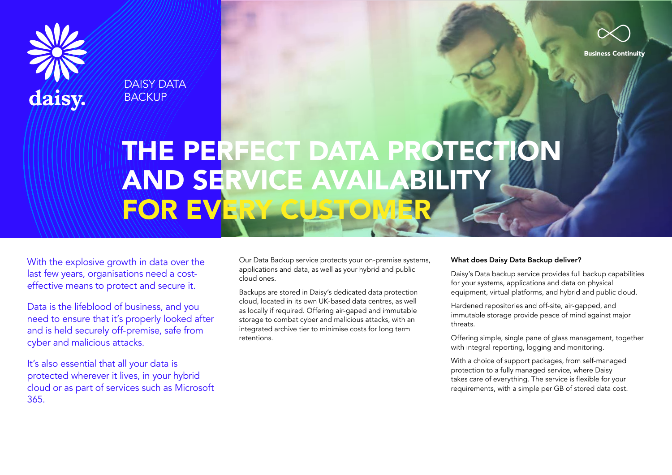

DAISY DATA **BACKUP** 



# THE PERFECT DATA PROTECTION AND SERVICE AVAILABILITY **FOR EVERY CUST**

With the explosive growth in data over the last few years, organisations need a costeffective means to protect and secure it.

Data is the lifeblood of business, and you need to ensure that it's properly looked after and is held securely off-premise, safe from cyber and malicious attacks.

It's also essential that all your data is protected wherever it lives, in your hybrid cloud or as part of services such as Microsoft 365.

Our Data Backup service protects your on-premise systems, applications and data, as well as your hybrid and public cloud ones.

Backups are stored in Daisy's dedicated data protection cloud, located in its own UK-based data centres, as well as locally if required. Offering air-gaped and immutable storage to combat cyber and malicious attacks, with an integrated archive tier to minimise costs for long term retentions.

#### What does Daisy Data Backup deliver?

Daisy's Data backup service provides full backup capabilities for your systems, applications and data on physical equipment, virtual platforms, and hybrid and public cloud.

Hardened repositories and off-site, air-gapped, and immutable storage provide peace of mind against major threats.

Offering simple, single pane of glass management, together with integral reporting, logging and monitoring.

With a choice of support packages, from self-managed protection to a fully managed service, where Daisy takes care of everything. The service is flexible for your requirements, with a simple per GB of stored data cost.